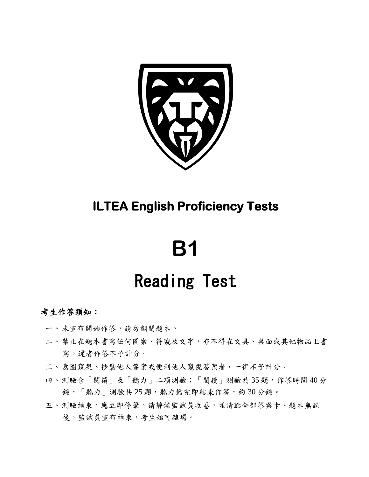

# **ILTEA English Proficiency Tests**

# **B1**

# Reading Test

### 考生作答須知:

- 一、未宣布開始作答,請勿翻閱題本。
- 二、禁止在題本書寫任何圖案、符號及文字,亦不得在文具、桌面或其他物品上書 寫,違者作答不予計分。
- 三、意圖窺視、抄襲他人答案或便利他人窺視答案者,一律不予計分。
- 四、測驗含「閱讀」及「聽力」二項測驗;「閱讀」測驗共35題,作答時間40分 鐘,「聽力」測驗共 25 題,聽力播完即結束作答,約 30 分鐘。
- 五、測驗結束,應立即停筆。請靜候監試員收卷,並清點全部答案卡、題本無誤 後,監試員宣布結束,考生始可離場。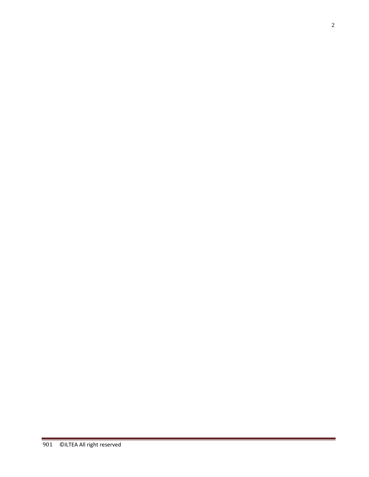ī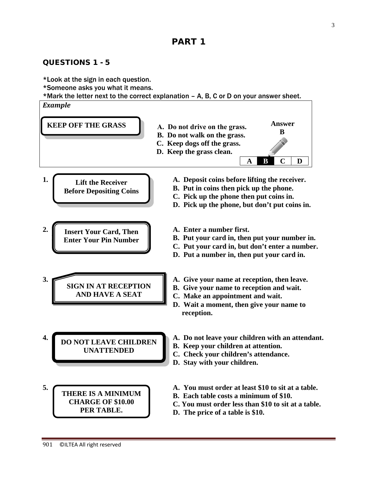#### QUESTIONS 1 - 5

\*Look at the sign in each question.

\*Someone asks you what it means.

\*Mark the letter next to the correct explanation – A, B, C or D on your answer sheet.

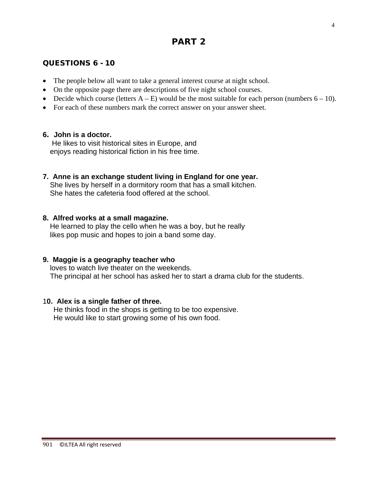#### QUESTIONS 6 - 10

- The people below all want to take a general interest course at night school.
- On the opposite page there are descriptions of five night school courses.
- Decide which course (letters  $A E$ ) would be the most suitable for each person (numbers  $6 10$ ).
- For each of these numbers mark the correct answer on your answer sheet.

#### **6. John is a doctor.**

He likes to visit historical sites in Europe, and enjoys reading historical fiction in his free time.

#### **7. Anne is an exchange student living in England for one year.**

She lives by herself in a dormitory room that has a small kitchen. She hates the cafeteria food offered at the school.

#### **8. Alfred works at a small magazine.**

He learned to play the cello when he was a boy, but he really likes pop music and hopes to join a band some day.

#### **9. Maggie is a geography teacher who**

loves to watch live theater on the weekends. The principal at her school has asked her to start a drama club for the students.

#### 1**0. Alex is a single father of three.**

He thinks food in the shops is getting to be too expensive. He would like to start growing some of his own food.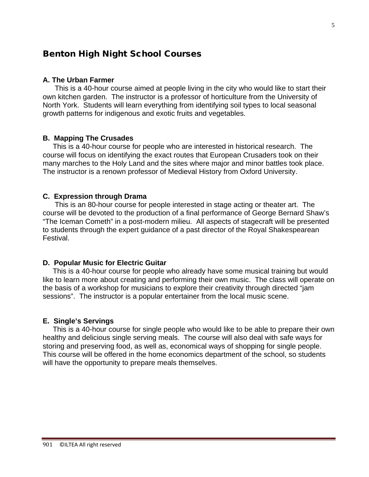### Benton High Night School Courses

#### **A. The Urban Farmer**

 This is a 40-hour course aimed at people living in the city who would like to start their own kitchen garden. The instructor is a professor of horticulture from the University of North York. Students will learn everything from identifying soil types to local seasonal growth patterns for indigenous and exotic fruits and vegetables.

#### **B. Mapping The Crusades**

 This is a 40-hour course for people who are interested in historical research. The course will focus on identifying the exact routes that European Crusaders took on their many marches to the Holy Land and the sites where major and minor battles took place. The instructor is a renown professor of Medieval History from Oxford University.

#### **C. Expression through Drama**

 This is an 80-hour course for people interested in stage acting or theater art. The course will be devoted to the production of a final performance of George Bernard Shaw's "The Iceman Cometh" in a post-modern milieu. All aspects of stagecraft will be presented to students through the expert guidance of a past director of the Royal Shakespearean Festival.

#### **D. Popular Music for Electric Guitar**

 This is a 40-hour course for people who already have some musical training but would like to learn more about creating and performing their own music. The class will operate on the basis of a workshop for musicians to explore their creativity through directed "jam sessions". The instructor is a popular entertainer from the local music scene.

#### **E. Single's Servings**

 This is a 40-hour course for single people who would like to be able to prepare their own healthy and delicious single serving meals. The course will also deal with safe ways for storing and preserving food, as well as, economical ways of shopping for single people. This course will be offered in the home economics department of the school, so students will have the opportunity to prepare meals themselves.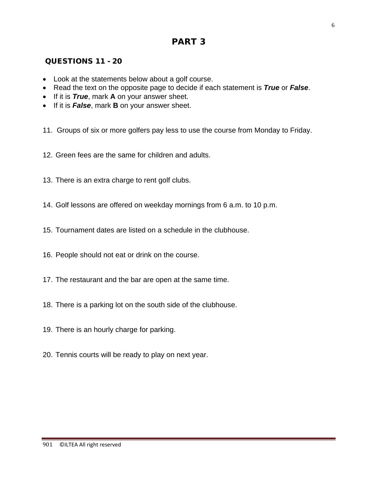#### QUESTIONS 11 - 20

- Look at the statements below about a golf course.
- Read the text on the opposite page to decide if each statement is *True* or *False*.
- If it is *True*, mark **A** on your answer sheet.
- If it is *False*, mark **B** on your answer sheet.

11. Groups of six or more golfers pay less to use the course from Monday to Friday.

- 12. Green fees are the same for children and adults.
- 13. There is an extra charge to rent golf clubs.
- 14. Golf lessons are offered on weekday mornings from 6 a.m. to 10 p.m.
- 15. Tournament dates are listed on a schedule in the clubhouse.
- 16. People should not eat or drink on the course.
- 17. The restaurant and the bar are open at the same time.
- 18. There is a parking lot on the south side of the clubhouse.
- 19. There is an hourly charge for parking.
- 20. Tennis courts will be ready to play on next year.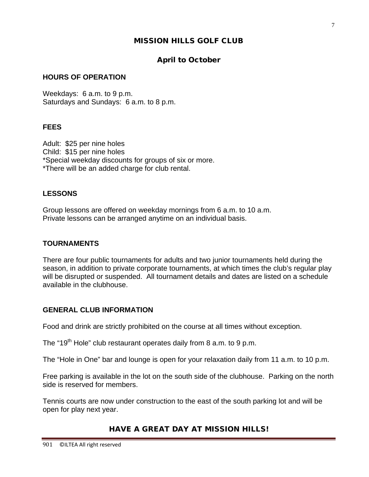#### MISSION HILLS GOLF CLUB

#### April to October

#### **HOURS OF OPERATION**

Weekdays: 6 a.m. to 9 p.m. Saturdays and Sundays: 6 a.m. to 8 p.m.

#### **FEES**

Adult: \$25 per nine holes Child: \$15 per nine holes \*Special weekday discounts for groups of six or more. \*There will be an added charge for club rental.

#### **LESSONS**

Group lessons are offered on weekday mornings from 6 a.m. to 10 a.m. Private lessons can be arranged anytime on an individual basis.

#### **TOURNAMENTS**

There are four public tournaments for adults and two junior tournaments held during the season, in addition to private corporate tournaments, at which times the club's regular play will be disrupted or suspended. All tournament details and dates are listed on a schedule available in the clubhouse.

#### **GENERAL CLUB INFORMATION**

Food and drink are strictly prohibited on the course at all times without exception.

The "19<sup>th</sup> Hole" club restaurant operates daily from 8 a.m. to 9 p.m.

The "Hole in One" bar and lounge is open for your relaxation daily from 11 a.m. to 10 p.m.

Free parking is available in the lot on the south side of the clubhouse. Parking on the north side is reserved for members.

Tennis courts are now under construction to the east of the south parking lot and will be open for play next year.

#### HAVE A GREAT DAY AT MISSION HILLS!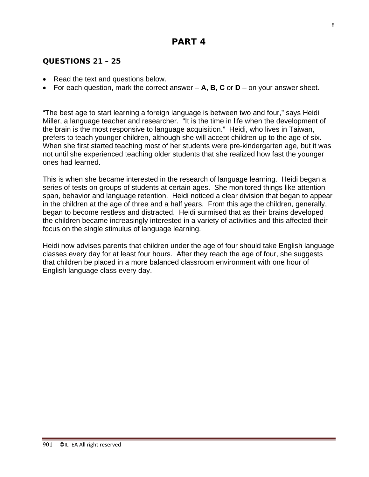#### QUESTIONS 21 – 25

- Read the text and questions below.
- For each question, mark the correct answer **A, B, C** or **D** on your answer sheet.

"The best age to start learning a foreign language is between two and four," says Heidi Miller, a language teacher and researcher. "It is the time in life when the development of the brain is the most responsive to language acquisition." Heidi, who lives in Taiwan, prefers to teach younger children, although she will accept children up to the age of six. When she first started teaching most of her students were pre-kindergarten age, but it was not until she experienced teaching older students that she realized how fast the younger ones had learned.

This is when she became interested in the research of language learning. Heidi began a series of tests on groups of students at certain ages. She monitored things like attention span, behavior and language retention. Heidi noticed a clear division that began to appear in the children at the age of three and a half years. From this age the children, generally, began to become restless and distracted. Heidi surmised that as their brains developed the children became increasingly interested in a variety of activities and this affected their focus on the single stimulus of language learning.

Heidi now advises parents that children under the age of four should take English language classes every day for at least four hours. After they reach the age of four, she suggests that children be placed in a more balanced classroom environment with one hour of English language class every day.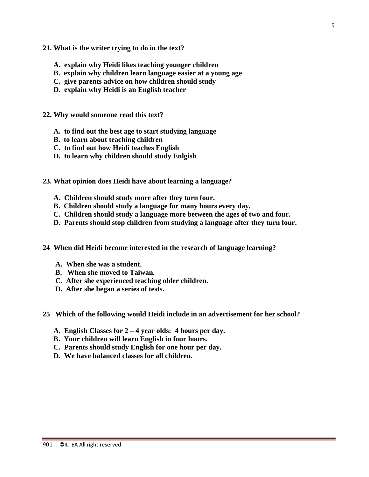- **21. What is the writer trying to do in the text?**
	- **A. explain why Heidi likes teaching younger children**
	- **B. explain why children learn language easier at a young age**
	- **C. give parents advice on how children should study**
	- **D. explain why Heidi is an English teacher**
- **22. Why would someone read this text?**
	- **A. to find out the best age to start studying language**
	- **B. to learn about teaching children**
	- **C. to find out how Heidi teaches English**
	- **D. to learn why children should study Enlgish**
- **23. What opinion does Heidi have about learning a language?**
	- **A. Children should study more after they turn four.**
	- **B. Children should study a language for many hours every day.**
	- **C. Children should study a language more between the ages of two and four.**
	- **D. Parents should stop children from studying a language after they turn four.**
- **24 When did Heidi become interested in the research of language learning?**
	- **A. When she was a student.**
	- **B. When she moved to Taiwan.**
	- **C. After she experienced teaching older children.**
	- **D. After she began a series of tests.**
- **25 Which of the following would Heidi include in an advertisement for her school?**
	- **A. English Classes for 2 4 year olds: 4 hours per day.**
	- **B. Your children will learn English in four hours.**
	- **C. Parents should study English for one hour per day.**
	- **D. We have balanced classes for all children.**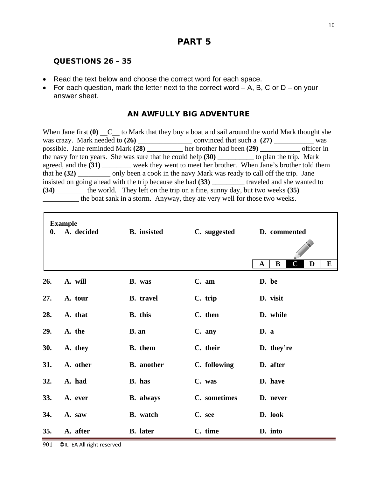#### QUESTIONS 26 – 35

- Read the text below and choose the correct word for each space.
- For each question, mark the letter next to the correct word  $A$ , B, C or D  $-$  on your answer sheet.

#### AN AWFULLY BIG ADVENTURE

When Jane first  $(0)$   $C$  to Mark that they buy a boat and sail around the world Mark thought she was crazy. Mark needed to **(26)** \_\_\_\_\_\_\_\_\_\_\_\_\_\_\_ convinced that such a **(27)** \_\_\_\_\_\_\_\_\_\_\_ was possible. Jane reminded Mark **(28)** \_\_\_\_\_\_\_\_\_\_ her brother had been **(29)** \_\_\_\_\_\_\_\_\_\_\_ officer in the navy for ten years. She was sure that he could help **(30)** \_\_\_\_\_\_\_\_\_\_ to plan the trip. Mark agreed, and the **(31)** \_\_\_\_\_\_\_\_ week they went to meet her brother. When Jane's brother told them that he **(32)** \_\_\_\_\_\_\_\_\_ only been a cook in the navy Mark was ready to call off the trip. Jane insisted on going ahead with the trip because she had **(33)** \_\_\_\_\_\_\_\_\_ traveled and she wanted to **(34)** \_\_\_\_\_\_\_\_ the world. They left on the trip on a fine, sunny day, but two weeks **(35)** \_\_\_\_\_\_\_\_\_\_ the boat sank in a storm. Anyway, they ate very well for those two weeks.

| <b>Example</b><br>A. decided<br><b>B.</b> insisted<br>C. suggested<br>$\mathbf{0}$ .<br>D. commented |          |                   |              |                                                                |  |  |  |
|------------------------------------------------------------------------------------------------------|----------|-------------------|--------------|----------------------------------------------------------------|--|--|--|
|                                                                                                      |          |                   |              |                                                                |  |  |  |
|                                                                                                      |          |                   |              | $\overline{\mathbf{C}}$<br>B<br>${\bf E}$<br>D<br>$\mathbf{A}$ |  |  |  |
| 26.                                                                                                  | A. will  | B. was            | C. am        | D. be                                                          |  |  |  |
| 27.                                                                                                  | A. tour  | <b>B.</b> travel  | C. trip      | D. visit                                                       |  |  |  |
| 28.                                                                                                  | A. that  | <b>B.</b> this    | C. then      | D. while                                                       |  |  |  |
| 29.                                                                                                  | A. the   | B. an             | C. any       | D. a                                                           |  |  |  |
| 30.                                                                                                  | A. they  | <b>B.</b> them    | C. their     | D. they're                                                     |  |  |  |
| 31.                                                                                                  | A. other | <b>B.</b> another | C. following | D. after                                                       |  |  |  |
| 32.                                                                                                  | A. had   | B. has            | C. was       | D. have                                                        |  |  |  |
| 33.                                                                                                  | A. ever  | <b>B.</b> always  | C. sometimes | D. never                                                       |  |  |  |
| 34.                                                                                                  | A. saw   | <b>B.</b> watch   | C. see       | D. look                                                        |  |  |  |
| 35.                                                                                                  | A. after | <b>B.</b> later   | C. time      | D. into                                                        |  |  |  |

901 ©ILTEA All right reserved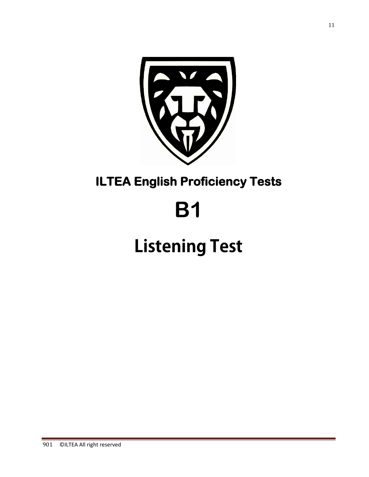

# **ILTEA English Proficiency Tests**

# **B1**

# **Listening Test**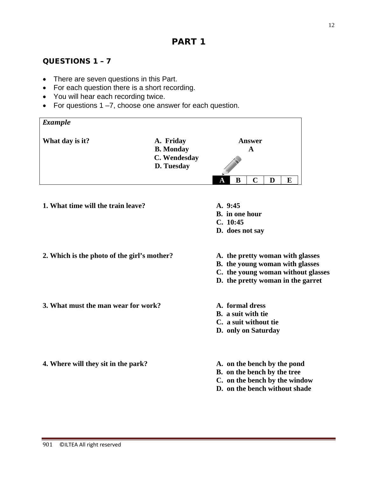#### QUESTIONS 1 – 7

- There are seven questions in this Part.
- For each question there is a short recording.
- You will hear each recording twice.
- For questions 1 –7, choose one answer for each question.



- **1.** What time will the train leave? A. 9:45
- **2. Which is the photo of the girl's mother? A. the pretty woman with glasses**
- **3. What must the man wear for work? A. formal dress**
- 
- **4. Where will they sit in the park? A. on the bench by the pond**
- 
- **B. in one hour**
- **C. 10:45**
- **D. does not say**
- 
- **B. the young woman with glasses**
- **C. the young woman without glasses**
- **D. the pretty woman in the garret**
- 
- **B. a suit with tie**
- **C. a suit without tie**
- **D. only on Saturday**
- 
- **B. on the bench by the tree**
- **C. on the bench by the window**
- **D. on the bench without shade**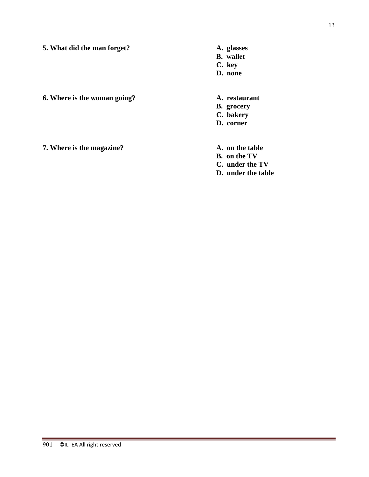- **5. What did the man forget? A. glasses**
- **6. Where is the woman going? A. restaurant**
- 
- **B. wallet C. key**
- **D. none**
	-
	- **B. grocery**
	- **C. bakery**
	- **D. corner**
- **7. Where is the magazine? A. on the table**
	-
	- **B. on the TV**
	- **C. under the TV**
	- **D. under the table**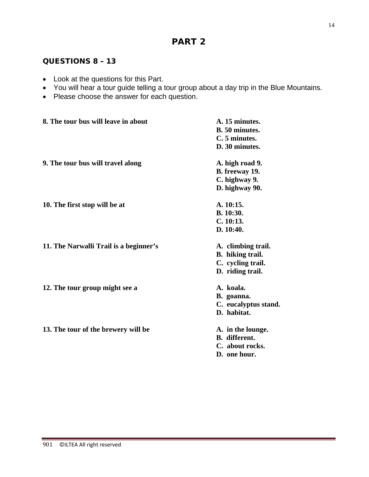#### QUESTIONS 8 – 13

- Look at the questions for this Part.
- You will hear a tour guide telling a tour group about a day trip in the Blue Mountains.
- Please choose the answer for each question.

| 8. The tour bus will leave in about    | A. 15 minutes.          |
|----------------------------------------|-------------------------|
|                                        | B. 50 minutes.          |
|                                        | C. 5 minutes.           |
|                                        | D. 30 minutes.          |
| 9. The tour bus will travel along      | A. high road 9.         |
|                                        | B. freeway 19.          |
|                                        | C. highway 9.           |
|                                        | D. highway 90.          |
| 10. The first stop will be at          | A. 10:15.               |
|                                        | B. 10:30.               |
|                                        | C. 10:13.               |
|                                        | D. 10:40.               |
| 11. The Narwalli Trail is a beginner's | A. climbing trail.      |
|                                        | <b>B.</b> hiking trail. |
|                                        | C. cycling trail.       |
|                                        | D. riding trail.        |
| 12. The tour group might see a         | A. koala.               |
|                                        | B. goanna.              |
|                                        | C. eucalyptus stand.    |
|                                        | D. habitat.             |
| 13. The tour of the brewery will be    | A. in the lounge.       |
|                                        | <b>B.</b> different.    |
|                                        | C. about rocks.         |
|                                        | D. one hour.            |
|                                        |                         |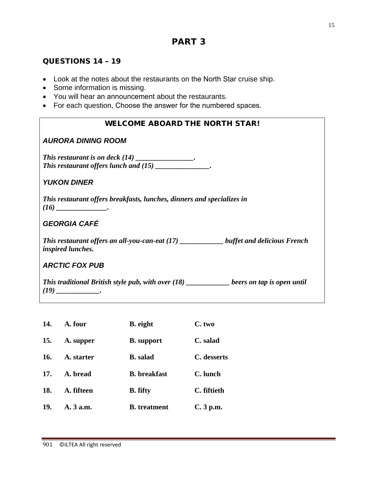#### QUESTIONS 14 – 19

- Look at the notes about the restaurants on the North Star cruise ship.
- Some information is missing.
- You will hear an announcement about the restaurants.
- For each question, Choose the answer for the numbered spaces.

#### WELCOME ABOARD THE NORTH STAR!

| <b>AURORA DINING ROOM</b>                                                                                              |  |  |  |  |
|------------------------------------------------------------------------------------------------------------------------|--|--|--|--|
| This restaurant is on deck $(14)$ ________________.<br>This restaurant offers lunch and $(15)$ ______________.         |  |  |  |  |
| <b>YUKON DINER</b>                                                                                                     |  |  |  |  |
| This restaurant offers breakfasts, lunches, dinners and specializes in                                                 |  |  |  |  |
| <b>GEORGIA CAFÉ</b>                                                                                                    |  |  |  |  |
| This restaurant offers an all-you-can-eat $(17)$ ______________buffet and delicious French<br><i>inspired lunches.</i> |  |  |  |  |
| <b>ARCTIC FOX PUB</b>                                                                                                  |  |  |  |  |
| This traditional British style pub, with over $(18)$ _____________ beers on tap is open until                          |  |  |  |  |

| 14.        | A. four    | <b>B.</b> eight     | C. two      |
|------------|------------|---------------------|-------------|
| 15.        | A. supper  | <b>B.</b> support   | C. salad    |
| 16.        | A. starter | <b>B.</b> salad     | C. desserts |
| <b>17.</b> | A. bread   | <b>B.</b> breakfast | C. lunch    |
| 18.        | A. fifteen | <b>B.</b> fifty     | C. fiftieth |
| <b>19.</b> | A. 3 a.m.  | <b>B.</b> treatment | C. 3 p.m.   |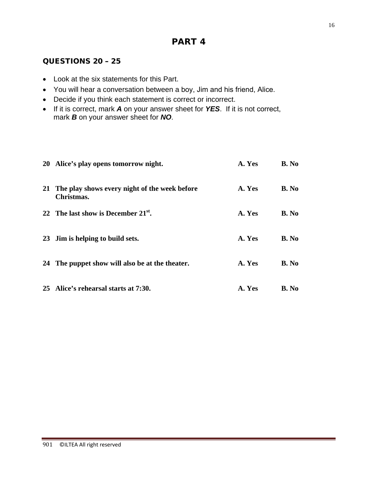#### QUESTIONS 20 – 25

- Look at the six statements for this Part.
- You will hear a conversation between a boy, Jim and his friend, Alice.
- Decide if you think each statement is correct or incorrect.
- If it is correct, mark *A* on your answer sheet for *YES*. If it is not correct, mark *B* on your answer sheet for *NO*.

| 20 Alice's play opens tomorrow night.                          | A. Yes | B. No |
|----------------------------------------------------------------|--------|-------|
| 21 The play shows every night of the week before<br>Christmas. | A. Yes | B. No |
| 22 The last show is December 21 <sup>st</sup> .                | A. Yes | B. No |
| 23 Jim is helping to build sets.                               | A. Yes | B. No |
| 24 The puppet show will also be at the theater.                | A. Yes | B. No |
| 25 Alice's rehearsal starts at 7:30.                           | A. Yes | B. No |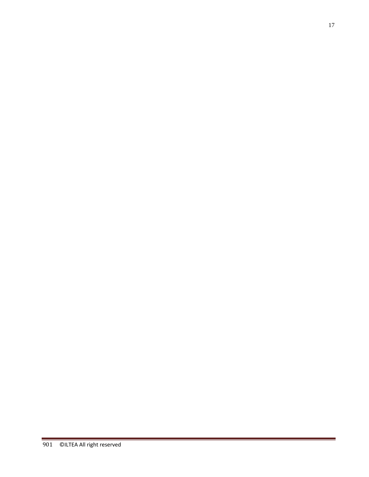ī